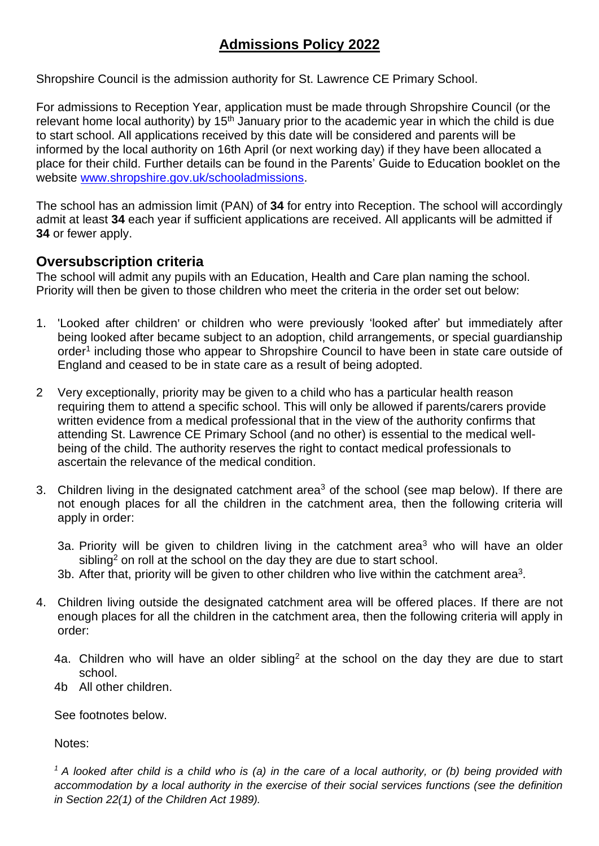# **Admissions Policy 2022**

Shropshire Council is the admission authority for St. Lawrence CE Primary School.

For admissions to Reception Year, application must be made through Shropshire Council (or the relevant home local authority) by 15<sup>th</sup> January prior to the academic year in which the child is due to start school. All applications received by this date will be considered and parents will be informed by the local authority on 16th April (or next working day) if they have been allocated a place for their child. Further details can be found in the Parents' Guide to Education booklet on the website [www.shropshire.gov.uk/schooladmissions.](http://www.shropshire.gov.uk/schooladmissions)

The school has an admission limit (PAN) of **34** for entry into Reception. The school will accordingly admit at least **34** each year if sufficient applications are received. All applicants will be admitted if **34** or fewer apply.

#### **Oversubscription criteria**

The school will admit any pupils with an Education, Health and Care plan naming the school. Priority will then be given to those children who meet the criteria in the order set out below:

- 1. 'Looked after children' or children who were previously 'looked after' but immediately after being looked after became subject to an adoption, child arrangements, or special guardianship order<sup>1</sup> including those who appear to Shropshire Council to have been in state care outside of England and ceased to be in state care as a result of being adopted.
- 2 Very exceptionally, priority may be given to a child who has a particular health reason requiring them to attend a specific school. This will only be allowed if parents/carers provide written evidence from a medical professional that in the view of the authority confirms that attending St. Lawrence CE Primary School (and no other) is essential to the medical wellbeing of the child. The authority reserves the right to contact medical professionals to ascertain the relevance of the medical condition.
- 3. Children living in the designated catchment area<sup>3</sup> of the school (see map below). If there are not enough places for all the children in the catchment area, then the following criteria will apply in order:
	- 3a. Priority will be given to children living in the catchment area<sup>3</sup> who will have an older sibling<sup>2</sup> on roll at the school on the day they are due to start school.
	- 3b. After that, priority will be given to other children who live within the catchment area<sup>3</sup>.
- 4. Children living outside the designated catchment area will be offered places. If there are not enough places for all the children in the catchment area, then the following criteria will apply in order:
	- 4a. Children who will have an older sibling<sup>2</sup> at the school on the day they are due to start school.
	- 4b All other children.

See footnotes below.

Notes:

*<sup>1</sup> A looked after child is a child who is (a) in the care of a local authority, or (b) being provided with accommodation by a local authority in the exercise of their social services functions (see the definition in Section 22(1) of the Children Act 1989).*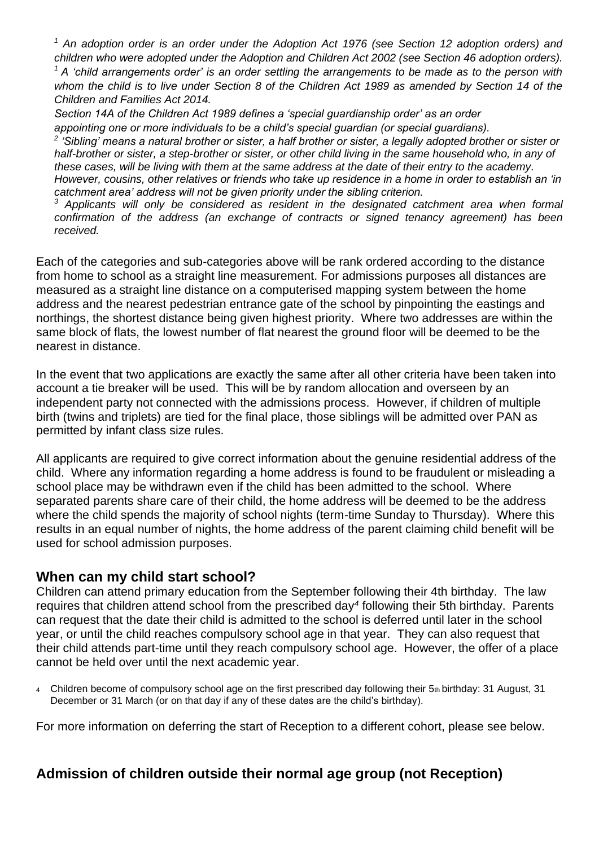*<sup>1</sup> An adoption order is an order under the Adoption Act 1976 (see Section 12 adoption orders) and children who were adopted under the Adoption and Children Act 2002 (see Section 46 adoption orders).* 

*<sup>1</sup> A 'child arrangements order' is an order settling the arrangements to be made as to the person with whom the child is to live under Section 8 of the Children Act 1989 as amended by Section 14 of the Children and Families Act 2014.* 

*Section 14A of the Children Act 1989 defines a 'special guardianship order' as an order appointing one or more individuals to be a child's special guardian (or special guardians).*

<sup>2</sup> 'Sibling' means a natural brother or sister, a half brother or sister, a legally adopted brother or sister or

*half-brother or sister, a step-brother or sister, or other child living in the same household who, in any of these cases, will be living with them at the same address at the date of their entry to the academy. However, cousins, other relatives or friends who take up residence in a home in order to establish an 'in* 

*catchment area' address will not be given priority under the sibling criterion.*

*<sup>3</sup> Applicants will only be considered as resident in the designated catchment area when formal confirmation of the address (an exchange of contracts or signed tenancy agreement) has been received.*

Each of the categories and sub-categories above will be rank ordered according to the distance from home to school as a straight line measurement. For admissions purposes all distances are measured as a straight line distance on a computerised mapping system between the home address and the nearest pedestrian entrance gate of the school by pinpointing the eastings and northings, the shortest distance being given highest priority. Where two addresses are within the same block of flats, the lowest number of flat nearest the ground floor will be deemed to be the nearest in distance.

In the event that two applications are exactly the same after all other criteria have been taken into account a tie breaker will be used. This will be by random allocation and overseen by an independent party not connected with the admissions process. However, if children of multiple birth (twins and triplets) are tied for the final place, those siblings will be admitted over PAN as permitted by infant class size rules.

All applicants are required to give correct information about the genuine residential address of the child. Where any information regarding a home address is found to be fraudulent or misleading a school place may be withdrawn even if the child has been admitted to the school. Where separated parents share care of their child, the home address will be deemed to be the address where the child spends the majority of school nights (term-time Sunday to Thursday). Where this results in an equal number of nights, the home address of the parent claiming child benefit will be used for school admission purposes.

#### **When can my child start school?**

Children can attend primary education from the September following their 4th birthday. The law requires that children attend school from the prescribed day*<sup>4</sup>* following their 5th birthday. Parents can request that the date their child is admitted to the school is deferred until later in the school year, or until the child reaches compulsory school age in that year. They can also request that their child attends part-time until they reach compulsory school age. However, the offer of a place cannot be held over until the next academic year.

4 Children become of compulsory school age on the first prescribed day following their 5th birthday: 31 August, 31 December or 31 March (or on that day if any of these dates are the child's birthday).

For more information on deferring the start of Reception to a different cohort, please see below.

# **Admission of children outside their normal age group (not Reception)**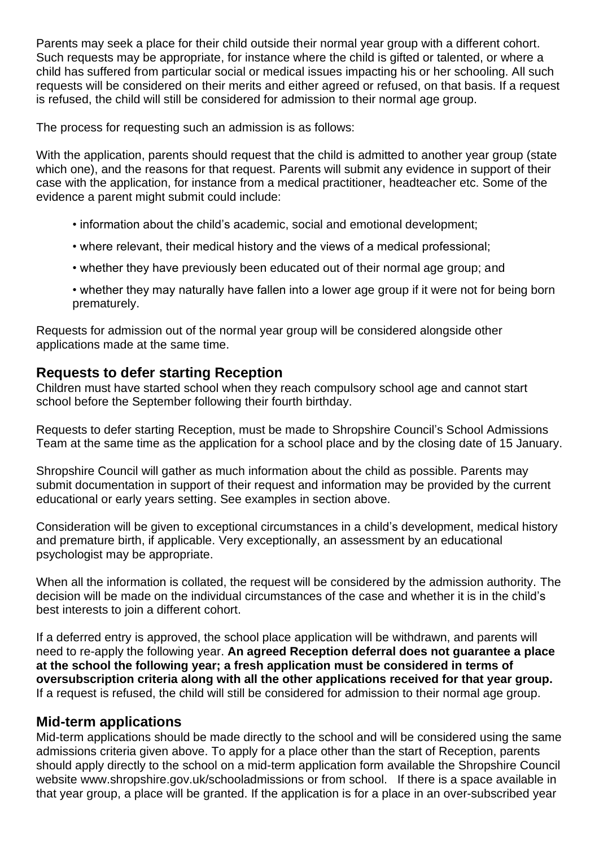Parents may seek a place for their child outside their normal year group with a different cohort. Such requests may be appropriate, for instance where the child is gifted or talented, or where a child has suffered from particular social or medical issues impacting his or her schooling. All such requests will be considered on their merits and either agreed or refused, on that basis. If a request is refused, the child will still be considered for admission to their normal age group.

The process for requesting such an admission is as follows:

With the application, parents should request that the child is admitted to another year group (state which one), and the reasons for that request. Parents will submit any evidence in support of their case with the application, for instance from a medical practitioner, headteacher etc. Some of the evidence a parent might submit could include:

- information about the child's academic, social and emotional development;
- where relevant, their medical history and the views of a medical professional;
- whether they have previously been educated out of their normal age group; and
- whether they may naturally have fallen into a lower age group if it were not for being born prematurely.

Requests for admission out of the normal year group will be considered alongside other applications made at the same time.

#### **Requests to defer starting Reception**

Children must have started school when they reach compulsory school age and cannot start school before the September following their fourth birthday.

Requests to defer starting Reception, must be made to Shropshire Council's School Admissions Team at the same time as the application for a school place and by the closing date of 15 January.

Shropshire Council will gather as much information about the child as possible. Parents may submit documentation in support of their request and information may be provided by the current educational or early years setting. See examples in section above.

Consideration will be given to exceptional circumstances in a child's development, medical history and premature birth, if applicable. Very exceptionally, an assessment by an educational psychologist may be appropriate.

When all the information is collated, the request will be considered by the admission authority. The decision will be made on the individual circumstances of the case and whether it is in the child's best interests to join a different cohort.

If a deferred entry is approved, the school place application will be withdrawn, and parents will need to re-apply the following year. **An agreed Reception deferral does not guarantee a place at the school the following year; a fresh application must be considered in terms of oversubscription criteria along with all the other applications received for that year group.** If a request is refused, the child will still be considered for admission to their normal age group.

#### **Mid-term applications**

Mid-term applications should be made directly to the school and will be considered using the same admissions criteria given above. To apply for a place other than the start of Reception, parents should apply directly to the school on a mid-term application form available the Shropshire Council website www.shropshire.gov.uk/schooladmissions or from school. If there is a space available in that year group, a place will be granted. If the application is for a place in an over-subscribed year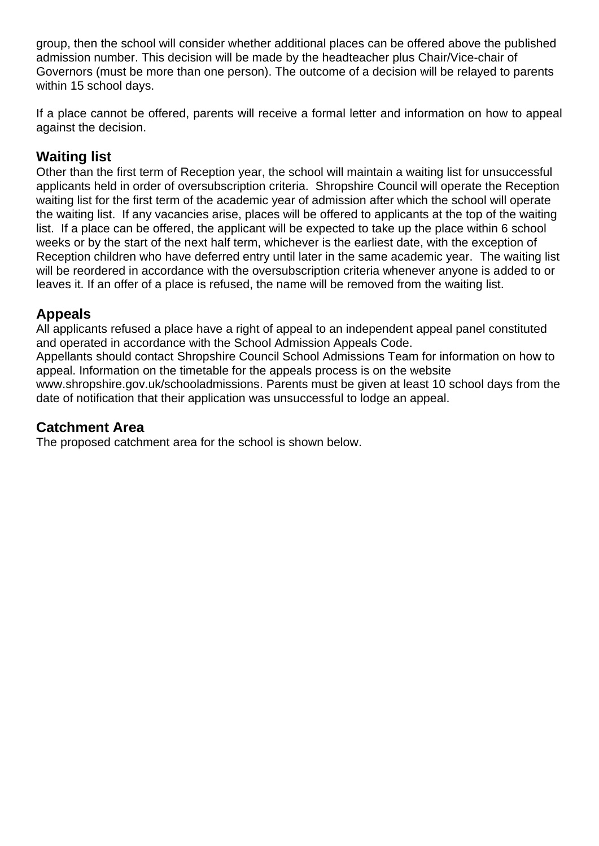group, then the school will consider whether additional places can be offered above the published admission number. This decision will be made by the headteacher plus Chair/Vice-chair of Governors (must be more than one person). The outcome of a decision will be relayed to parents within 15 school days.

If a place cannot be offered, parents will receive a formal letter and information on how to appeal against the decision.

## **Waiting list**

Other than the first term of Reception year, the school will maintain a waiting list for unsuccessful applicants held in order of oversubscription criteria. Shropshire Council will operate the Reception waiting list for the first term of the academic year of admission after which the school will operate the waiting list. If any vacancies arise, places will be offered to applicants at the top of the waiting list. If a place can be offered, the applicant will be expected to take up the place within 6 school weeks or by the start of the next half term, whichever is the earliest date, with the exception of Reception children who have deferred entry until later in the same academic year. The waiting list will be reordered in accordance with the oversubscription criteria whenever anyone is added to or leaves it. If an offer of a place is refused, the name will be removed from the waiting list.

## **Appeals**

All applicants refused a place have a right of appeal to an independent appeal panel constituted and operated in accordance with the School Admission Appeals Code. Appellants should contact Shropshire Council School Admissions Team for information on how to appeal. Information on the timetable for the appeals process is on the website www.shropshire.gov.uk/schooladmissions. Parents must be given at least 10 school days from the date of notification that their application was unsuccessful to lodge an appeal.

#### **Catchment Area**

The proposed catchment area for the school is shown below.